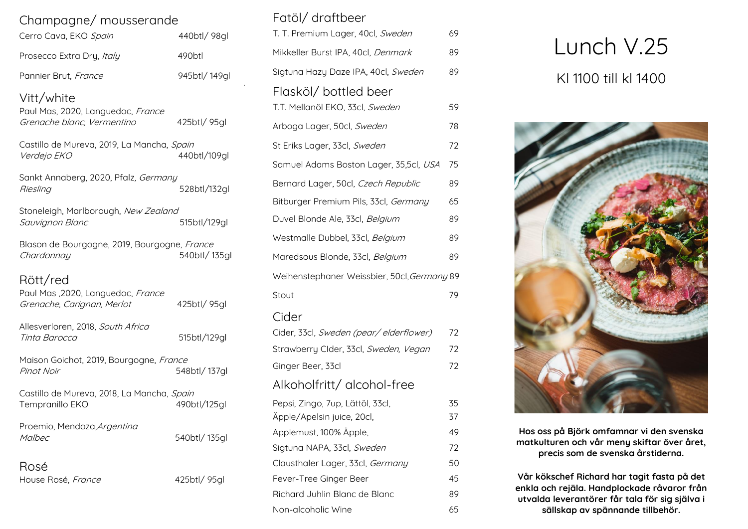| Cerro Cava, EKO Spain     | 440btl/98gl        |
|---------------------------|--------------------|
| Prosecco Extra Dry, Italy | 490 <sub>btl</sub> |
| Pannier Brut, France      | 945btl/149ql       |

### Vitt/white

| Paul Mas, 2020, Languedoc, France |              |
|-----------------------------------|--------------|
| Grenache blanc, Vermentino        | 425btl/ 95gl |

| Castillo de Mureva, 2019, La Mancha, <i>Spain</i> |              |
|---------------------------------------------------|--------------|
| <i>Verdejo EKO</i>                                | 440btl/109gl |

| Sankt Annaberg, 2020, Pfalz, Germany |              |
|--------------------------------------|--------------|
| Riesling                             | 528btl/132gl |
|                                      |              |

Stoneleigh, Marlborough, New Zealand<br>Sauvignon Blanc 515btl/129gl Sauvignon Blanc

Blason de Bourgogne, 2019, Bourgogne, France Chardonnay 540btl/ 135gl

# Rött/red

| Paul Mas, 2020, Languedoc, France<br>Grenache, Carignan, Merlot | 425btl/ 95gl |
|-----------------------------------------------------------------|--------------|
| Allesverloren, 2018, South Africa<br>Tinta Barocca              | 515btl/129gl |
| Maison Goichot, 2019, Bourgogne, France<br>Pinot Noir           | 548btl/137gl |
| Castillo de Mureva, 2018, La Mancha, Spain<br>Tempranillo EKO   | 490btl/125gl |
| Proemio, Mendoza, Argentina<br>Malbec                           | 540btl/135gl |
| Rosé<br>House Rosé, France                                      | 425btl/95gl  |

## Fatöl/ draftbeer

| T. T. Premium Lager, 40cl, Sweden                       | 69 |
|---------------------------------------------------------|----|
| Mikkeller Burst IPA, 40cl, <i>Denmark</i>               | 89 |
| Sigtuna Hazy Daze IPA, 40cl, Sweden                     | 89 |
| Flasköl/bottled beer<br>T.T. Mellanöl EKO, 33cl, Sweden | 59 |
| Arboga Lager, 50cl, Sweden                              | 78 |
| St Eriks Lager, 33cl, Sweden                            | 72 |
| Samuel Adams Boston Lager, 35,5cl, USA                  | 75 |
| Bernard Lager, 50cl, Czech Republic                     | 89 |
| Bitburger Premium Pils, 33cl, Germany                   | 65 |
| Duvel Blonde Ale, 33cl, Belgium                         | 89 |
| Westmalle Dubbel, 33cl, Belgium                         | 89 |
| Maredsous Blonde, 33cl, Belgium                         | 89 |
| Weihenstephaner Weissbier, 50cl, Germany 89             |    |
| Stout                                                   | 79 |
|                                                         |    |

#### Cider

| Cider, 33cl, Sweden (pear/elderflower) | 72 |
|----------------------------------------|----|
| Strawberry Clder, 33cl, Sweden, Vegan  | 72 |
| Ginger Beer, 33cl                      | 72 |
| Alkoholfritt/ alcohol-free             |    |
| Pepsi, Zingo, 7up, Lättöl, 33cl,       | 35 |
| Äpple/Apelsin juice, 20cl,             | 37 |
| Applemust, 100% Äpple,                 | 49 |
| Sigtuna NAPA, 33cl, Sweden             | 72 |
| Clausthaler Lager, 33cl, Germany       | 50 |
| Fever-Tree Ginger Beer                 | 45 |
| Richard Juhlin Blanc de Blanc          | 89 |
| Non-alcoholic Wine                     | 65 |

# Lunch V.25 Kl 1100 till kl 1400



**Hos oss på Björk omfamnar vi den svenska matkulturen och vår meny skiftar över året, precis som de svenska årstiderna.**

**Vår kökschef Richard har tagit fasta på det enkla och rejäla. Handplockade råvaror från utvalda leverantörer får tala för sig själva i sällskap av spännande tillbehör.**